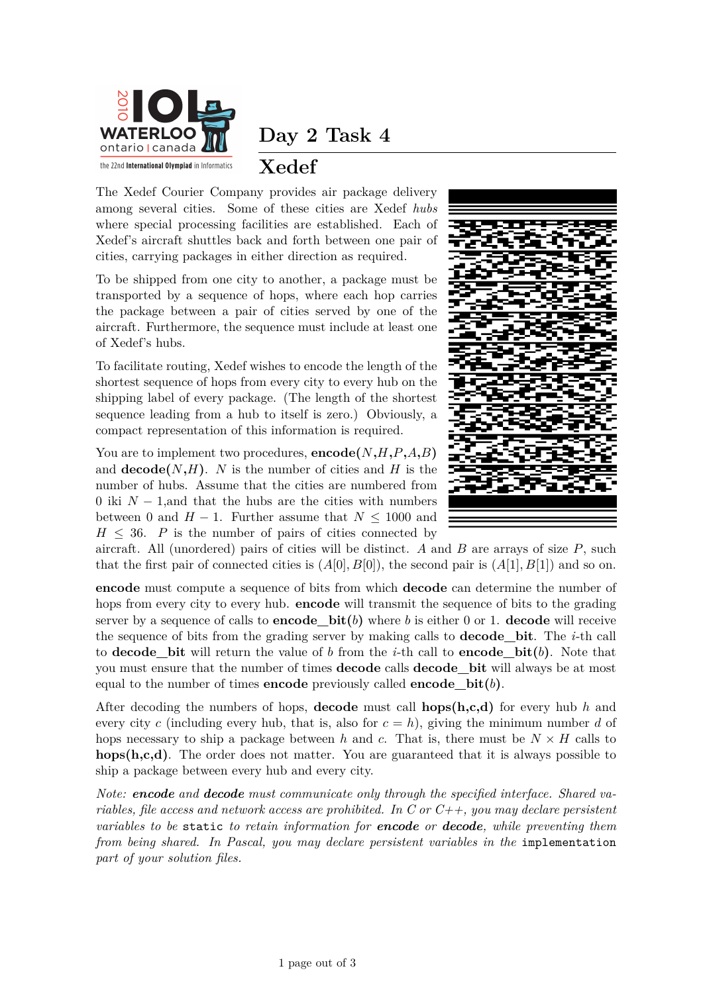

**Day 2 Task 4**

## **Xedef**

The Xedef Courier Company provides air package delivery among several cities. Some of these cities are Xedef *hubs* where special processing facilities are established. Each of Xedef's aircraft shuttles back and forth between one pair of cities, carrying packages in either direction as required.

To be shipped from one city to another, a package must be transported by a sequence of hops, where each hop carries the package between a pair of cities served by one of the aircraft. Furthermore, the sequence must include at least one of Xedef's hubs.

To facilitate routing, Xedef wishes to encode the length of the shortest sequence of hops from every city to every hub on the shipping label of every package. (The length of the shortest sequence leading from a hub to itself is zero.) Obviously, a compact representation of this information is required.

You are to implement two procedures,  $\mathbf{encode}(N, H, P, A, B)$ and  $\textbf{decode}(N, H)$ . *N* is the number of cities and *H* is the number of hubs. Assume that the cities are numbered from 0 iki *N* − 1,and that the hubs are the cities with numbers between 0 and  $H - 1$ . Further assume that  $N \leq 1000$  and  $H \leq 36$ . *P* is the number of pairs of cities connected by



aircraft. All (unordered) pairs of cities will be distinct. *A* and *B* are arrays of size *P*, such that the first pair of connected cities is  $(A[0], B[0])$ , the second pair is  $(A[1], B[1])$  and so on.

**encode** must compute a sequence of bits from which **decode** can determine the number of hops from every city to every hub. **encode** will transmit the sequence of bits to the grading server by a sequence of calls to **encode**  $bit(b)$  where *b* is either 0 or 1. **decode** will receive the sequence of bits from the grading server by making calls to **decode\_bit**. The *i*-th call to **decode** bit will return the value of *b* from the *i*-th call to **encode** bit(*b*). Note that you must ensure that the number of times **decode** calls **decode\_bit** will always be at most equal to the number of times **encode** previously called **encode**  $bit(b)$ .

After decoding the numbers of hops, **decode** must call **hops(h,c,d)** for every hub *h* and every city *c* (including every hub, that is, also for  $c = h$ ), giving the minimum number *d* of hops necessary to ship a package between *h* and *c*. That is, there must be  $N \times H$  calls to **hops(h,c,d)**. The order does not matter. You are guaranteed that it is always possible to ship a package between every hub and every city.

*Note: encode and decode must communicate only through the specified interface. Shared variables, file access and network access are prohibited. In C or C++, you may declare persistent variables to be* static *to retain information for encode or decode, while preventing them from being shared. In Pascal, you may declare persistent variables in the* implementation *part of your solution files.*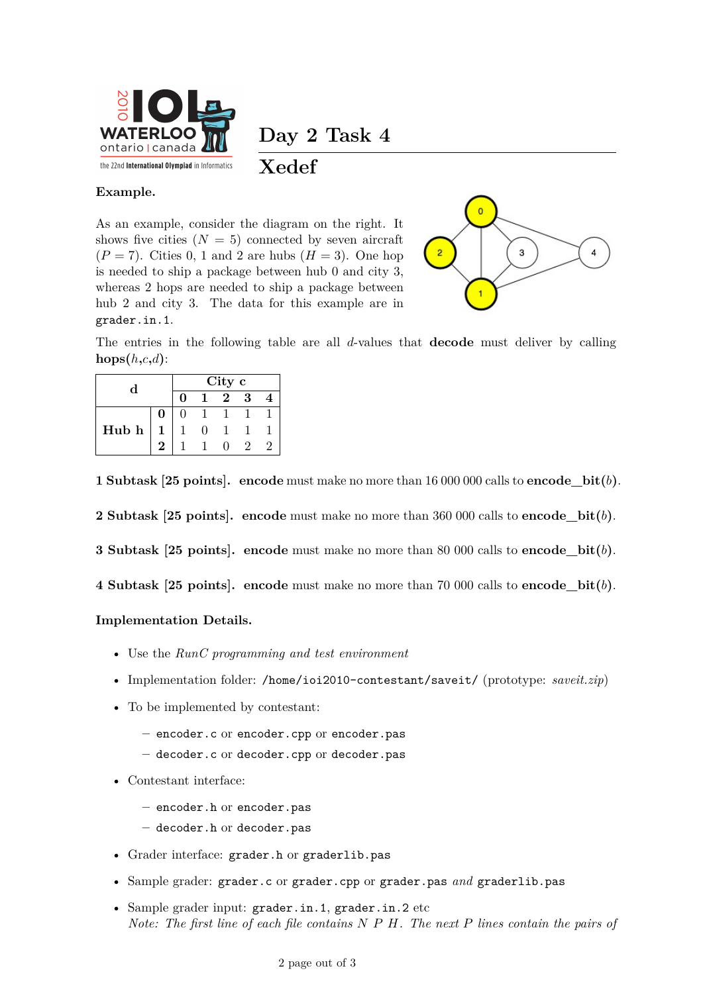

**Day 2 Task 4**

**Xedef**

## **Example.**

As an example, consider the diagram on the right. It shows five cities  $(N = 5)$  connected by seven aircraft  $(P = 7)$ . Cities 0, 1 and 2 are hubs  $(H = 3)$ . One hop is needed to ship a package between hub 0 and city 3, whereas 2 hops are needed to ship a package between hub 2 and city 3. The data for this example are in grader.in.1.



The entries in the following table are all *d*-values that **decode** must deliver by calling  $\textbf{hops}(h,c,d)$ :

| d     |   | City c |  |   |   |    |
|-------|---|--------|--|---|---|----|
|       |   |        |  | 2 | 3 |    |
| Hub h | 0 |        |  |   |   |    |
|       |   |        |  |   |   |    |
|       | 2 |        |  |   |   | ۰, |

**1 Subtask [25 points]. encode** must make no more than 16 000 000 calls to **encode\_bit(***b***)**.

**2 Subtask [25 points]. encode** must make no more than 360 000 calls to **encode\_bit(***b***)**.

**3 Subtask [25 points]. encode** must make no more than 80 000 calls to **encode\_bit(***b***)**.

**4 Subtask [25 points]. encode** must make no more than 70 000 calls to **encode\_bit(***b***)**.

## **Implementation Details.**

- Use the *RunC programming and test environment*
- Implementation folder: /home/ioi2010-contestant/saveit/ (prototype: *saveit.zip*)
- To be implemented by contestant:
	- **–** encoder.c or encoder.cpp or encoder.pas
	- **–** decoder.c or decoder.cpp or decoder.pas
- Contestant interface:
	- **–** encoder.h or encoder.pas
	- **–** decoder.h or decoder.pas
- Grader interface: grader.h or graderlib.pas
- Sample grader: grader.c or grader.cpp or grader.pas *and* graderlib.pas
- Sample grader input: grader.in.1, grader.in.2 etc *Note: The first line of each file contains N P H. The next P lines contain the pairs of*